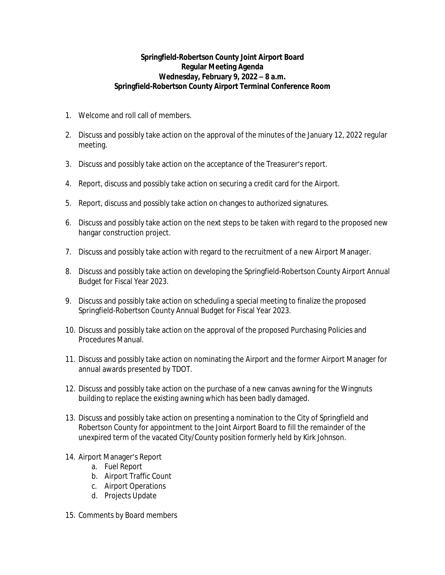## **Springfield-Robertson County Joint Airport Board Regular Meeting Agenda Wednesday, February 9, 2022 – 8 a.m. Springfield-Robertson County Airport Terminal Conference Room**

- 1. Welcome and roll call of members.
- 2. Discuss and possibly take action on the approval of the minutes of the January 12, 2022 regular meeting.
- 3. Discuss and possibly take action on the acceptance of the Treasurer's report.
- 4. Report, discuss and possibly take action on securing a credit card for the Airport.
- 5. Report, discuss and possibly take action on changes to authorized signatures.
- 6. Discuss and possibly take action on the next steps to be taken with regard to the proposed new hangar construction project.
- 7. Discuss and possibly take action with regard to the recruitment of a new Airport Manager.
- 8. Discuss and possibly take action on developing the Springfield-Robertson County Airport Annual Budget for Fiscal Year 2023.
- 9. Discuss and possibly take action on scheduling a special meeting to finalize the proposed Springfield-Robertson County Annual Budget for Fiscal Year 2023.
- 10. Discuss and possibly take action on the approval of the proposed Purchasing Policies and Procedures Manual.
- 11. Discuss and possibly take action on nominating the Airport and the former Airport Manager for annual awards presented by TDOT.
- 12. Discuss and possibly take action on the purchase of a new canvas awning for the Wingnuts building to replace the existing awning which has been badly damaged.
- 13. Discuss and possibly take action on presenting a nomination to the City of Springfield and Robertson County for appointment to the Joint Airport Board to fill the remainder of the unexpired term of the vacated City/County position formerly held by Kirk Johnson.
- 14. Airport Manager's Report
	- a. Fuel Report
	- b. Airport Traffic Count
	- c. Airport Operations
	- d. Projects Update
- 15. Comments by Board members